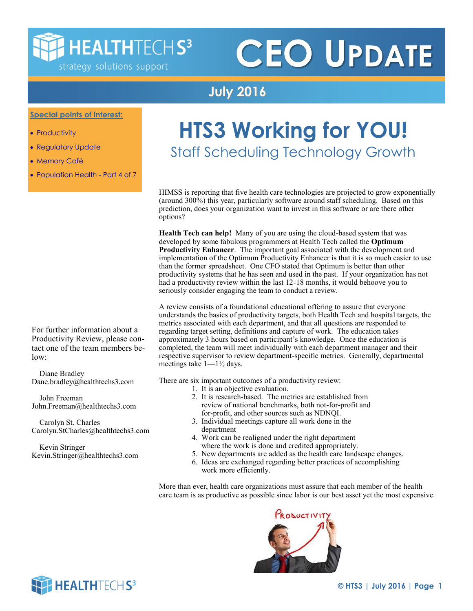## **HEALTHTECHS3**

strategy solutions support

# **CEO UPDATE**

#### **July 2016**

**Special points of interest:**

- Productivity
- Regulatory Update
- Memory Café
- Population Health Part 4 of 7

## **HTS3 Working for YOU!**

Staff Scheduling Technology Growth

HIMSS is reporting that five health care technologies are projected to grow exponentially (around 300%) this year, particularly software around staff scheduling. Based on this prediction, does your organization want to invest in this software or are there other options?

**Health Tech can help!** Many of you are using the cloud-based system that was developed by some fabulous programmers at Health Tech called the **Optimum Productivity Enhancer**. The important goal associated with the development and implementation of the Optimum Productivity Enhancer is that it is so much easier to use than the former spreadsheet. One CFO stated that Optimum is better than other productivity systems that he has seen and used in the past. If your organization has not had a productivity review within the last 12-18 months, it would behoove you to seriously consider engaging the team to conduct a review.

A review consists of a foundational educational offering to assure that everyone understands the basics of productivity targets, both Health Tech and hospital targets, the metrics associated with each department, and that all questions are responded to regarding target setting, definitions and capture of work. The education takes approximately 3 hours based on participant's knowledge. Once the education is completed, the team will meet individually with each department manager and their respective supervisor to review department-specific metrics. Generally, departmental meetings take  $1 - 1\frac{1}{2}$  days.

There are six important outcomes of a productivity review:

- 1. It is an objective evaluation.
	- 2. It is research-based. The metrics are established from review of national benchmarks, both not-for-profit and for-profit, and other sources such as NDNQI.
	- 3. Individual meetings capture all work done in the department
	- 4. Work can be realigned under the right department where the work is done and credited appropriately.
	- 5. New departments are added as the health care landscape changes.
	- 6. Ideas are exchanged regarding better practices of accomplishing work more efficiently.

More than ever, health care organizations must assure that each member of the health care team is as productive as possible since labor is our best asset yet the most expensive.



For further information about a Productivity Review, please contact one of the team members below:

 Diane Bradley Dane.bradley@healthtechs3.com

 John Freeman John.Freeman@healthtechs3.com

 Carolyn St. Charles Carolyn.StCharles@healthtechs3.com

 Kevin Stringer Kevin.Stringer@healthtechs3.com

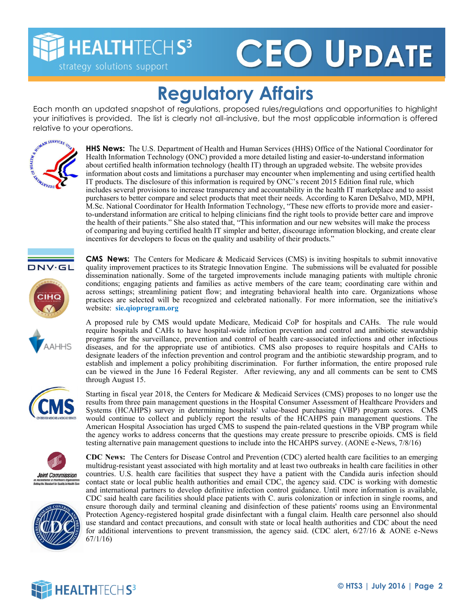**HEALTHTECHS3** 

strategy solutions support

# **CEO UPDATE**

#### **Regulatory Affairs**

Each month an updated snapshot of regulations, proposed rules/regulations and opportunities to highlight your initiatives is provided. The list is clearly not all-inclusive, but the most applicable information is offered relative to your operations.



**HHS News:** The U.S. Department of Health and Human Services (HHS) Office of the National Coordinator for Health Information Technology (ONC) provided a more detailed listing and easier-to-understand information about certified health information technology (health IT) through an upgraded website. The website provides information about costs and limitations a purchaser may encounter when implementing and using certified health IT products. The disclosure of this information is required by ONC's recent 2015 Edition final rule, which includes several provisions to increase transparency and accountability in the health IT marketplace and to assist purchasers to better compare and select products that meet their needs. According to Karen DeSalvo, MD, MPH, M.Sc. National Coordinator for Health Information Technology, "These new efforts to provide more and easierto-understand information are critical to helping clinicians find the right tools to provide better care and improve the health of their patients." She also stated that, "This information and our new websites will make the process of comparing and buying certified health IT simpler and better, discourage information blocking, and create clear incentives for developers to focus on the quality and usability of their products."







dissemination nationally. Some of the targeted improvements include managing patients with multiple chronic conditions; engaging patients and families as active members of the care team; coordinating care within and across settings; streamlining patient flow; and integrating behavioral health into care. Organizations whose practices are selected will be recognized and celebrated nationally. For more information, see the initiative's website: **sie.qioprogram.org** A proposed rule by CMS would update Medicare, Medicaid CoP for hospitals and CAHs. The rule would

**CMS News:** The Centers for Medicare & Medicaid Services (CMS) is inviting hospitals to submit innovative quality improvement practices to its Strategic Innovation Engine. The submissions will be evaluated for possible

require hospitals and CAHs to have hospital-wide infection prevention and control and antibiotic stewardship programs for the surveillance, prevention and control of health care-associated infections and other infectious diseases, and for the appropriate use of antibiotics. CMS also proposes to require hospitals and CAHs to designate leaders of the infection prevention and control program and the antibiotic stewardship program, and to establish and implement a policy prohibiting discrimination. For further information, the entire proposed rule can be viewed in the June 16 Federal Register. After reviewing, any and all comments can be sent to CMS through August 15.

Starting in fiscal year 2018, the Centers for Medicare & Medicaid Services (CMS) proposes to no longer use the results from three pain management questions in the Hospital Consumer Assessment of Healthcare Providers and Systems (HCAHPS) survey in determining hospitals' value-based purchasing (VBP) program scores. CMS would continue to collect and publicly report the results of the HCAHPS pain management questions. The American Hospital Association has urged CMS to suspend the pain-related questions in the VBP program while the agency works to address concerns that the questions may create pressure to prescribe opioids. CMS is field testing alternative pain management questions to include into the HCAHPS survey. (AONE e-News, 7/8/16)





**CDC News:** The Centers for Disease Control and Prevention (CDC) alerted health care facilities to an emerging multidrug-resistant yeast associated with high mortality and at least two outbreaks in health care facilities in other countries. U.S. health care facilities that suspect they have a patient with the Candida auris infection should contact state or local public health authorities and email CDC, the agency said. CDC is working with domestic and international partners to develop definitive infection control guidance. Until more information is available, CDC said health care facilities should place patients with C. auris colonization or infection in single rooms, and ensure thorough daily and terminal cleaning and disinfection of these patients' rooms using an Environmental Protection Agency-registered hospital grade disinfectant with a fungal claim. Health care personnel also should use standard and contact precautions, and consult with state or local health authorities and CDC about the need for additional interventions to prevent transmission, the agency said. (CDC alert,  $6/27/16$  & AONE e-News 67/1/16)

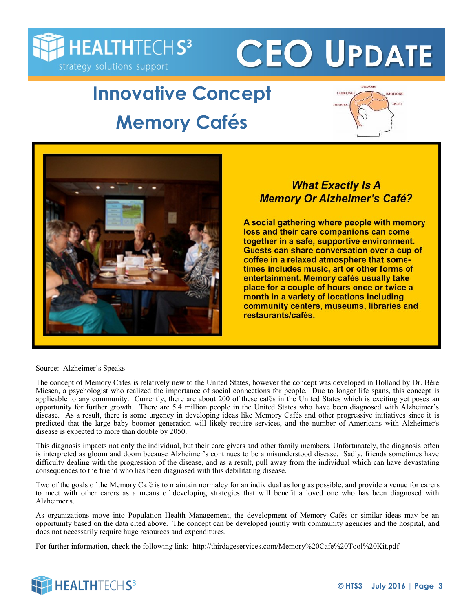

# **CEO UPDATE**

### **Innovative Concept Memory Cafés**





#### **What Exactly Is A Memory Or Alzheimer's Café?**

A social gathering where people with memory loss and their care companions can come together in a safe, supportive environment. Guests can share conversation over a cup of coffee in a relaxed atmosphere that sometimes includes music, art or other forms of entertainment. Memory cafés usually take place for a couple of hours once or twice a month in a variety of locations including community centers, museums, libraries and restaurants/cafés.

Source: Alzheimer's Speaks

The concept of Memory Cafés is relatively new to the United States, however the concept was developed in Holland by Dr. Bère Miesen, a psychologist who realized the importance of social connections for people. Due to longer life spans, this concept is applicable to any community. Currently, there are about 200 of these cafés in the United States which is exciting yet poses an opportunity for further growth. There are 5.4 million people in the United States who have been diagnosed with Alzheimer's disease. As a result, there is some urgency in developing ideas like Memory Cafés and other progressive initiatives since it is predicted that the large baby boomer generation will likely require services, and the number of Americans with Alzheimer's disease is expected to more than double by 2050.

This diagnosis impacts not only the individual, but their care givers and other family members. Unfortunately, the diagnosis often is interpreted as gloom and doom because Alzheimer's continues to be a misunderstood disease. Sadly, friends sometimes have difficulty dealing with the progression of the disease, and as a result, pull away from the individual which can have devastating consequences to the friend who has been diagnosed with this debilitating disease.

Two of the goals of the Memory Café is to maintain normalcy for an individual as long as possible, and provide a venue for carers to meet with other carers as a means of developing strategies that will benefit a loved one who has been diagnosed with Alzheimer's.

As organizations move into Population Health Management, the development of Memory Cafés or similar ideas may be an opportunity based on the data cited above. The concept can be developed jointly with community agencies and the hospital, and does not necessarily require huge resources and expenditures.

For further information, check the following link: http://thirdageservices.com/Memory%20Cafe%20Tool%20Kit.pdf